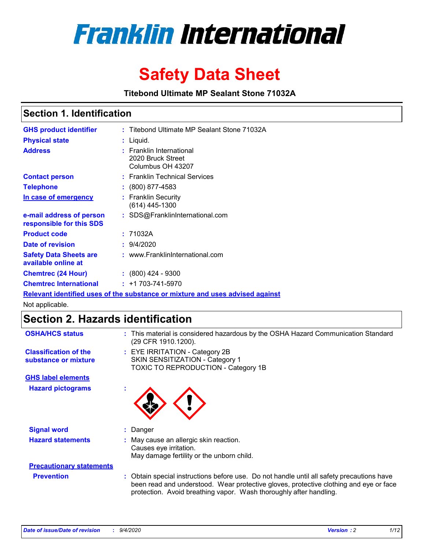

# **Safety Data Sheet**

**Titebond Ultimate MP Sealant Stone 71032A**

### **Section 1. Identification**

| <b>GHS product identifier</b>                                                 |  | : Titebond Ultimate MP Sealant Stone 71032A                        |  |  |  |
|-------------------------------------------------------------------------------|--|--------------------------------------------------------------------|--|--|--|
| <b>Physical state</b>                                                         |  | : Liquid.                                                          |  |  |  |
| <b>Address</b>                                                                |  | : Franklin International<br>2020 Bruck Street<br>Columbus OH 43207 |  |  |  |
| <b>Contact person</b>                                                         |  | : Franklin Technical Services                                      |  |  |  |
| <b>Telephone</b>                                                              |  | $\colon$ (800) 877-4583                                            |  |  |  |
| In case of emergency                                                          |  | : Franklin Security<br>(614) 445-1300                              |  |  |  |
| e-mail address of person<br>responsible for this SDS                          |  | : SDS@FranklinInternational.com                                    |  |  |  |
| <b>Product code</b>                                                           |  | : 71032A                                                           |  |  |  |
| Date of revision                                                              |  | : 9/4/2020                                                         |  |  |  |
| <b>Safety Data Sheets are</b><br>available online at                          |  | : www.FranklinInternational.com                                    |  |  |  |
| <b>Chemtrec (24 Hour)</b>                                                     |  | $\cdot$ (800) 424 - 9300                                           |  |  |  |
| <b>Chemtrec International</b>                                                 |  | $: +1703 - 741 - 5970$                                             |  |  |  |
| Relevant identified uses of the substance or mixture and uses advised against |  |                                                                    |  |  |  |

Not applicable.

## **Section 2. Hazards identification**

| <b>OSHA/HCS status</b>                               |    | : This material is considered hazardous by the OSHA Hazard Communication Standard<br>(29 CFR 1910.1200).                                                                                                                                                 |
|------------------------------------------------------|----|----------------------------------------------------------------------------------------------------------------------------------------------------------------------------------------------------------------------------------------------------------|
| <b>Classification of the</b><br>substance or mixture |    | : EYE IRRITATION - Category 2B<br>SKIN SENSITIZATION - Category 1<br>TOXIC TO REPRODUCTION - Category 1B                                                                                                                                                 |
| <b>GHS label elements</b>                            |    |                                                                                                                                                                                                                                                          |
| <b>Hazard pictograms</b>                             | ×. |                                                                                                                                                                                                                                                          |
| <b>Signal word</b>                                   | ÷. | Danger                                                                                                                                                                                                                                                   |
| <b>Hazard statements</b>                             |    | May cause an allergic skin reaction.<br>Causes eye irritation.<br>May damage fertility or the unborn child.                                                                                                                                              |
| <b>Precautionary statements</b>                      |    |                                                                                                                                                                                                                                                          |
| <b>Prevention</b>                                    |    | : Obtain special instructions before use. Do not handle until all safety precautions have<br>been read and understood. Wear protective gloves, protective clothing and eye or face<br>protection. Avoid breathing vapor. Wash thoroughly after handling. |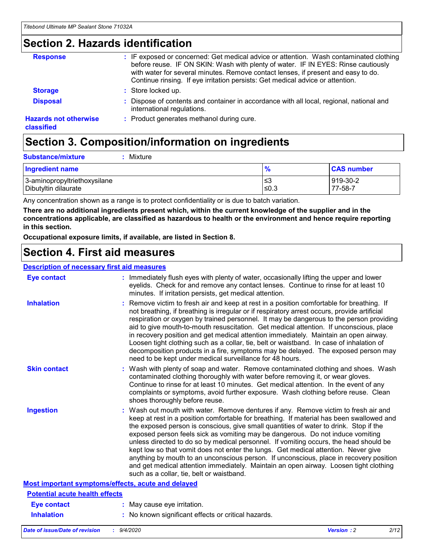### **Section 2. Hazards identification**

| <b>Response</b>                            | : IF exposed or concerned: Get medical advice or attention. Wash contaminated clothing<br>before reuse. IF ON SKIN: Wash with plenty of water. IF IN EYES: Rinse cautiously<br>with water for several minutes. Remove contact lenses, if present and easy to do.<br>Continue rinsing. If eye irritation persists: Get medical advice or attention. |
|--------------------------------------------|----------------------------------------------------------------------------------------------------------------------------------------------------------------------------------------------------------------------------------------------------------------------------------------------------------------------------------------------------|
| <b>Storage</b>                             | : Store locked up.                                                                                                                                                                                                                                                                                                                                 |
| <b>Disposal</b>                            | : Dispose of contents and container in accordance with all local, regional, national and<br>international regulations.                                                                                                                                                                                                                             |
| <b>Hazards not otherwise</b><br>classified | : Product generates methanol during cure.                                                                                                                                                                                                                                                                                                          |

# **Section 3. Composition/information on ingredients**

| <b>Substance/mixture</b> | Mixture |
|--------------------------|---------|
|                          |         |

| <b>Ingredient name</b>       | $\frac{9}{6}$ | <b>CAS number</b> |
|------------------------------|---------------|-------------------|
| 3-aminopropyltriethoxysilane | ≤3            | 919-30-2          |
| Dibutyltin dilaurate         | ≤0.3          | 77-58-7           |

Any concentration shown as a range is to protect confidentiality or is due to batch variation.

**There are no additional ingredients present which, within the current knowledge of the supplier and in the concentrations applicable, are classified as hazardous to health or the environment and hence require reporting in this section.**

**Occupational exposure limits, if available, are listed in Section 8.**

### **Section 4. First aid measures**

| <b>Description of necessary first aid measures</b> |                                                                                                                                                                                                                                                                                                                                                                                                                                                                                                                                                                                                                                                                                                                                                                           |
|----------------------------------------------------|---------------------------------------------------------------------------------------------------------------------------------------------------------------------------------------------------------------------------------------------------------------------------------------------------------------------------------------------------------------------------------------------------------------------------------------------------------------------------------------------------------------------------------------------------------------------------------------------------------------------------------------------------------------------------------------------------------------------------------------------------------------------------|
| <b>Eye contact</b>                                 | : Immediately flush eyes with plenty of water, occasionally lifting the upper and lower<br>eyelids. Check for and remove any contact lenses. Continue to rinse for at least 10<br>minutes. If irritation persists, get medical attention.                                                                                                                                                                                                                                                                                                                                                                                                                                                                                                                                 |
| <b>Inhalation</b>                                  | : Remove victim to fresh air and keep at rest in a position comfortable for breathing. If<br>not breathing, if breathing is irregular or if respiratory arrest occurs, provide artificial<br>respiration or oxygen by trained personnel. It may be dangerous to the person providing<br>aid to give mouth-to-mouth resuscitation. Get medical attention. If unconscious, place<br>in recovery position and get medical attention immediately. Maintain an open airway.<br>Loosen tight clothing such as a collar, tie, belt or waistband. In case of inhalation of<br>decomposition products in a fire, symptoms may be delayed. The exposed person may<br>need to be kept under medical surveillance for 48 hours.                                                       |
| <b>Skin contact</b>                                | : Wash with plenty of soap and water. Remove contaminated clothing and shoes. Wash<br>contaminated clothing thoroughly with water before removing it, or wear gloves.<br>Continue to rinse for at least 10 minutes. Get medical attention. In the event of any<br>complaints or symptoms, avoid further exposure. Wash clothing before reuse. Clean<br>shoes thoroughly before reuse.                                                                                                                                                                                                                                                                                                                                                                                     |
| <b>Ingestion</b>                                   | : Wash out mouth with water. Remove dentures if any. Remove victim to fresh air and<br>keep at rest in a position comfortable for breathing. If material has been swallowed and<br>the exposed person is conscious, give small quantities of water to drink. Stop if the<br>exposed person feels sick as vomiting may be dangerous. Do not induce vomiting<br>unless directed to do so by medical personnel. If vomiting occurs, the head should be<br>kept low so that vomit does not enter the lungs. Get medical attention. Never give<br>anything by mouth to an unconscious person. If unconscious, place in recovery position<br>and get medical attention immediately. Maintain an open airway. Loosen tight clothing<br>such as a collar, tie, belt or waistband. |
| Most important symptoms/effects, acute and delayed |                                                                                                                                                                                                                                                                                                                                                                                                                                                                                                                                                                                                                                                                                                                                                                           |
| <b>Potential acute health effects</b>              |                                                                                                                                                                                                                                                                                                                                                                                                                                                                                                                                                                                                                                                                                                                                                                           |
| <b>Eye contact</b>                                 | : May cause eye irritation.                                                                                                                                                                                                                                                                                                                                                                                                                                                                                                                                                                                                                                                                                                                                               |
| <b>Inhalation</b>                                  | : No known significant effects or critical hazards.                                                                                                                                                                                                                                                                                                                                                                                                                                                                                                                                                                                                                                                                                                                       |
|                                                    |                                                                                                                                                                                                                                                                                                                                                                                                                                                                                                                                                                                                                                                                                                                                                                           |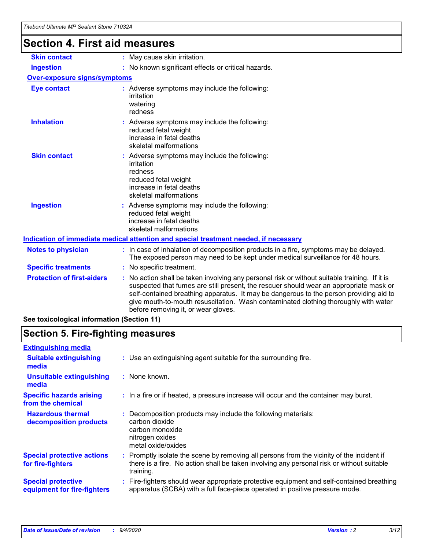# **Section 4. First aid measures**

| <b>Skin contact</b>                 | : May cause skin irritation.                                                                                                                                                                                                                                                                                                                                                                                    |
|-------------------------------------|-----------------------------------------------------------------------------------------------------------------------------------------------------------------------------------------------------------------------------------------------------------------------------------------------------------------------------------------------------------------------------------------------------------------|
| <b>Ingestion</b>                    | : No known significant effects or critical hazards.                                                                                                                                                                                                                                                                                                                                                             |
| <b>Over-exposure signs/symptoms</b> |                                                                                                                                                                                                                                                                                                                                                                                                                 |
| <b>Eye contact</b>                  | : Adverse symptoms may include the following:<br>irritation<br>watering<br>redness                                                                                                                                                                                                                                                                                                                              |
| <b>Inhalation</b>                   | : Adverse symptoms may include the following:<br>reduced fetal weight<br>increase in fetal deaths<br>skeletal malformations                                                                                                                                                                                                                                                                                     |
| <b>Skin contact</b>                 | : Adverse symptoms may include the following:<br>irritation<br>redness<br>reduced fetal weight<br>increase in fetal deaths<br>skeletal malformations                                                                                                                                                                                                                                                            |
| <b>Ingestion</b>                    | : Adverse symptoms may include the following:<br>reduced fetal weight<br>increase in fetal deaths<br>skeletal malformations                                                                                                                                                                                                                                                                                     |
|                                     | <u>Indication of immediate medical attention and special treatment needed, if necessary</u>                                                                                                                                                                                                                                                                                                                     |
| <b>Notes to physician</b>           | : In case of inhalation of decomposition products in a fire, symptoms may be delayed.<br>The exposed person may need to be kept under medical surveillance for 48 hours.                                                                                                                                                                                                                                        |
| <b>Specific treatments</b>          | : No specific treatment.                                                                                                                                                                                                                                                                                                                                                                                        |
| <b>Protection of first-aiders</b>   | : No action shall be taken involving any personal risk or without suitable training. If it is<br>suspected that fumes are still present, the rescuer should wear an appropriate mask or<br>self-contained breathing apparatus. It may be dangerous to the person providing aid to<br>give mouth-to-mouth resuscitation. Wash contaminated clothing thoroughly with water<br>before removing it, or wear gloves. |
|                                     |                                                                                                                                                                                                                                                                                                                                                                                                                 |

**See toxicological information (Section 11)**

### **Section 5. Fire-fighting measures**

| <b>Extinguishing media</b>                               |                                                                                                                                                                                                     |
|----------------------------------------------------------|-----------------------------------------------------------------------------------------------------------------------------------------------------------------------------------------------------|
| <b>Suitable extinguishing</b><br>media                   | : Use an extinguishing agent suitable for the surrounding fire.                                                                                                                                     |
| <b>Unsuitable extinguishing</b><br>media                 | $:$ None known.                                                                                                                                                                                     |
| <b>Specific hazards arising</b><br>from the chemical     | : In a fire or if heated, a pressure increase will occur and the container may burst.                                                                                                               |
| <b>Hazardous thermal</b><br>decomposition products       | Decomposition products may include the following materials:<br>carbon dioxide<br>carbon monoxide<br>nitrogen oxides<br>metal oxide/oxides                                                           |
| <b>Special protective actions</b><br>for fire-fighters   | : Promptly isolate the scene by removing all persons from the vicinity of the incident if<br>there is a fire. No action shall be taken involving any personal risk or without suitable<br>training. |
| <b>Special protective</b><br>equipment for fire-fighters | Fire-fighters should wear appropriate protective equipment and self-contained breathing<br>apparatus (SCBA) with a full face-piece operated in positive pressure mode.                              |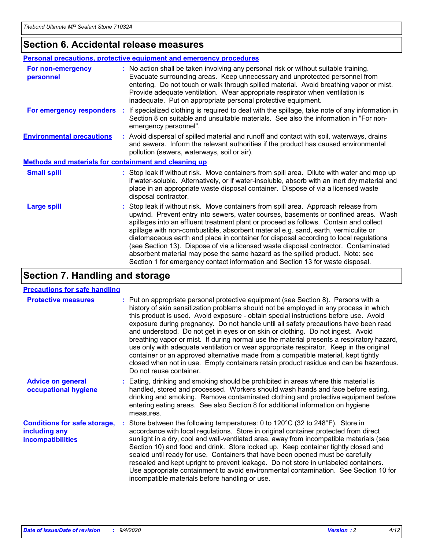### **Section 6. Accidental release measures**

|                                                              | <b>Personal precautions, protective equipment and emergency procedures</b>                                                                                                                                                                                                                                                                                                                                                                                                                                                                                                                                                                                                                                   |
|--------------------------------------------------------------|--------------------------------------------------------------------------------------------------------------------------------------------------------------------------------------------------------------------------------------------------------------------------------------------------------------------------------------------------------------------------------------------------------------------------------------------------------------------------------------------------------------------------------------------------------------------------------------------------------------------------------------------------------------------------------------------------------------|
| For non-emergency<br>personnel                               | : No action shall be taken involving any personal risk or without suitable training.<br>Evacuate surrounding areas. Keep unnecessary and unprotected personnel from<br>entering. Do not touch or walk through spilled material. Avoid breathing vapor or mist.<br>Provide adequate ventilation. Wear appropriate respirator when ventilation is<br>inadequate. Put on appropriate personal protective equipment.                                                                                                                                                                                                                                                                                             |
| For emergency responders                                     | : If specialized clothing is required to deal with the spillage, take note of any information in<br>Section 8 on suitable and unsuitable materials. See also the information in "For non-<br>emergency personnel".                                                                                                                                                                                                                                                                                                                                                                                                                                                                                           |
| <b>Environmental precautions</b>                             | : Avoid dispersal of spilled material and runoff and contact with soil, waterways, drains<br>and sewers. Inform the relevant authorities if the product has caused environmental<br>pollution (sewers, waterways, soil or air).                                                                                                                                                                                                                                                                                                                                                                                                                                                                              |
| <b>Methods and materials for containment and cleaning up</b> |                                                                                                                                                                                                                                                                                                                                                                                                                                                                                                                                                                                                                                                                                                              |
| <b>Small spill</b>                                           | : Stop leak if without risk. Move containers from spill area. Dilute with water and mop up<br>if water-soluble. Alternatively, or if water-insoluble, absorb with an inert dry material and<br>place in an appropriate waste disposal container. Dispose of via a licensed waste<br>disposal contractor.                                                                                                                                                                                                                                                                                                                                                                                                     |
| <b>Large spill</b>                                           | : Stop leak if without risk. Move containers from spill area. Approach release from<br>upwind. Prevent entry into sewers, water courses, basements or confined areas. Wash<br>spillages into an effluent treatment plant or proceed as follows. Contain and collect<br>spillage with non-combustible, absorbent material e.g. sand, earth, vermiculite or<br>diatomaceous earth and place in container for disposal according to local regulations<br>(see Section 13). Dispose of via a licensed waste disposal contractor. Contaminated<br>absorbent material may pose the same hazard as the spilled product. Note: see<br>Section 1 for emergency contact information and Section 13 for waste disposal. |

### **Section 7. Handling and storage**

#### **Precautions for safe handling**

| <b>Protective measures</b>                                                       | : Put on appropriate personal protective equipment (see Section 8). Persons with a<br>history of skin sensitization problems should not be employed in any process in which<br>this product is used. Avoid exposure - obtain special instructions before use. Avoid<br>exposure during pregnancy. Do not handle until all safety precautions have been read<br>and understood. Do not get in eyes or on skin or clothing. Do not ingest. Avoid<br>breathing vapor or mist. If during normal use the material presents a respiratory hazard,<br>use only with adequate ventilation or wear appropriate respirator. Keep in the original<br>container or an approved alternative made from a compatible material, kept tightly<br>closed when not in use. Empty containers retain product residue and can be hazardous.<br>Do not reuse container. |
|----------------------------------------------------------------------------------|--------------------------------------------------------------------------------------------------------------------------------------------------------------------------------------------------------------------------------------------------------------------------------------------------------------------------------------------------------------------------------------------------------------------------------------------------------------------------------------------------------------------------------------------------------------------------------------------------------------------------------------------------------------------------------------------------------------------------------------------------------------------------------------------------------------------------------------------------|
| <b>Advice on general</b><br>occupational hygiene                                 | : Eating, drinking and smoking should be prohibited in areas where this material is<br>handled, stored and processed. Workers should wash hands and face before eating,<br>drinking and smoking. Remove contaminated clothing and protective equipment before<br>entering eating areas. See also Section 8 for additional information on hygiene<br>measures.                                                                                                                                                                                                                                                                                                                                                                                                                                                                                    |
| <b>Conditions for safe storage,</b><br>including any<br><i>incompatibilities</i> | Store between the following temperatures: 0 to 120°C (32 to 248°F). Store in<br>accordance with local regulations. Store in original container protected from direct<br>sunlight in a dry, cool and well-ventilated area, away from incompatible materials (see<br>Section 10) and food and drink. Store locked up. Keep container tightly closed and<br>sealed until ready for use. Containers that have been opened must be carefully<br>resealed and kept upright to prevent leakage. Do not store in unlabeled containers.<br>Use appropriate containment to avoid environmental contamination. See Section 10 for<br>incompatible materials before handling or use.                                                                                                                                                                         |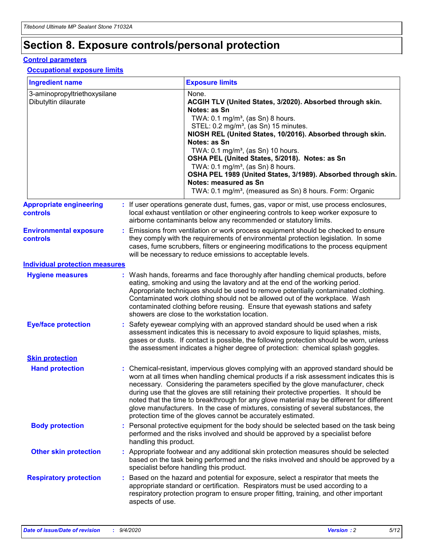# **Section 8. Exposure controls/personal protection**

#### **Control parameters**

#### **Occupational exposure limits**

| <b>Ingredient name</b>                               |    |                        | <b>Exposure limits</b>                                                                                                                                                                                                                                                                                                                                                                                                                                                                                                                                                                                                 |
|------------------------------------------------------|----|------------------------|------------------------------------------------------------------------------------------------------------------------------------------------------------------------------------------------------------------------------------------------------------------------------------------------------------------------------------------------------------------------------------------------------------------------------------------------------------------------------------------------------------------------------------------------------------------------------------------------------------------------|
| 3-aminopropyltriethoxysilane<br>Dibutyltin dilaurate |    |                        | None.<br>ACGIH TLV (United States, 3/2020). Absorbed through skin.<br>Notes: as Sn<br>TWA: 0.1 mg/m <sup>3</sup> , (as Sn) 8 hours.<br>STEL: 0.2 mg/m <sup>3</sup> , (as Sn) 15 minutes.<br>NIOSH REL (United States, 10/2016). Absorbed through skin.<br>Notes: as Sn<br>TWA: 0.1 mg/m <sup>3</sup> , (as Sn) 10 hours.<br>OSHA PEL (United States, 5/2018). Notes: as Sn<br>TWA: $0.1 \text{ mg/m}^3$ , (as Sn) 8 hours.<br>OSHA PEL 1989 (United States, 3/1989). Absorbed through skin.<br>Notes: measured as Sn<br>TWA: 0.1 mg/m <sup>3</sup> , (measured as Sn) 8 hours. Form: Organic                           |
| <b>Appropriate engineering</b><br>controls           |    |                        | : If user operations generate dust, fumes, gas, vapor or mist, use process enclosures,<br>local exhaust ventilation or other engineering controls to keep worker exposure to<br>airborne contaminants below any recommended or statutory limits.                                                                                                                                                                                                                                                                                                                                                                       |
| <b>Environmental exposure</b><br><b>controls</b>     |    |                        | Emissions from ventilation or work process equipment should be checked to ensure<br>they comply with the requirements of environmental protection legislation. In some<br>cases, fume scrubbers, filters or engineering modifications to the process equipment<br>will be necessary to reduce emissions to acceptable levels.                                                                                                                                                                                                                                                                                          |
| <b>Individual protection measures</b>                |    |                        |                                                                                                                                                                                                                                                                                                                                                                                                                                                                                                                                                                                                                        |
| <b>Hygiene measures</b>                              |    |                        | : Wash hands, forearms and face thoroughly after handling chemical products, before<br>eating, smoking and using the lavatory and at the end of the working period.<br>Appropriate techniques should be used to remove potentially contaminated clothing.<br>Contaminated work clothing should not be allowed out of the workplace. Wash<br>contaminated clothing before reusing. Ensure that eyewash stations and safety<br>showers are close to the workstation location.                                                                                                                                            |
| <b>Eye/face protection</b>                           |    |                        | : Safety eyewear complying with an approved standard should be used when a risk<br>assessment indicates this is necessary to avoid exposure to liquid splashes, mists,<br>gases or dusts. If contact is possible, the following protection should be worn, unless<br>the assessment indicates a higher degree of protection: chemical splash goggles.                                                                                                                                                                                                                                                                  |
| <b>Skin protection</b>                               |    |                        |                                                                                                                                                                                                                                                                                                                                                                                                                                                                                                                                                                                                                        |
| <b>Hand protection</b>                               |    |                        | : Chemical-resistant, impervious gloves complying with an approved standard should be<br>worn at all times when handling chemical products if a risk assessment indicates this is<br>necessary. Considering the parameters specified by the glove manufacturer, check<br>during use that the gloves are still retaining their protective properties. It should be<br>noted that the time to breakthrough for any glove material may be different for different<br>glove manufacturers. In the case of mixtures, consisting of several substances, the<br>protection time of the gloves cannot be accurately estimated. |
| <b>Body protection</b>                               |    | handling this product. | Personal protective equipment for the body should be selected based on the task being<br>performed and the risks involved and should be approved by a specialist before                                                                                                                                                                                                                                                                                                                                                                                                                                                |
| <b>Other skin protection</b>                         |    |                        | : Appropriate footwear and any additional skin protection measures should be selected<br>based on the task being performed and the risks involved and should be approved by a<br>specialist before handling this product.                                                                                                                                                                                                                                                                                                                                                                                              |
| <b>Respiratory protection</b>                        | ÷. | aspects of use.        | Based on the hazard and potential for exposure, select a respirator that meets the<br>appropriate standard or certification. Respirators must be used according to a<br>respiratory protection program to ensure proper fitting, training, and other important                                                                                                                                                                                                                                                                                                                                                         |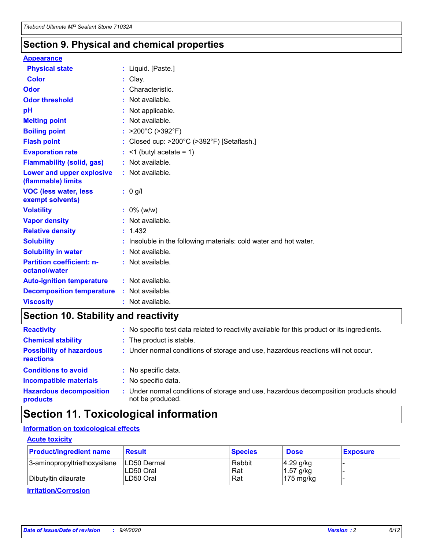### **Section 9. Physical and chemical properties**

#### **Appearance**

| <b>Physical state</b>                             | : Liquid. [Paste.]                                              |
|---------------------------------------------------|-----------------------------------------------------------------|
| <b>Color</b>                                      | Clay.                                                           |
| Odor                                              | Characteristic.                                                 |
| <b>Odor threshold</b>                             | : Not available.                                                |
| рH                                                | : Not applicable.                                               |
| <b>Melting point</b>                              | : Not available.                                                |
| <b>Boiling point</b>                              | : $>200^{\circ}$ C ( $>392^{\circ}$ F)                          |
| <b>Flash point</b>                                | Closed cup: >200°C (>392°F) [Setaflash.]                        |
| <b>Evaporation rate</b>                           | $:$ <1 (butyl acetate = 1)                                      |
| <b>Flammability (solid, gas)</b>                  | : Not available.                                                |
| Lower and upper explosive<br>(flammable) limits   | $:$ Not available.                                              |
| <b>VOC (less water, less)</b><br>exempt solvents) | $: 0$ g/l                                                       |
| <b>Volatility</b>                                 | $: 0\%$ (w/w)                                                   |
| <b>Vapor density</b>                              | : Not available.                                                |
| <b>Relative density</b>                           | : 1.432                                                         |
| <b>Solubility</b>                                 | Insoluble in the following materials: cold water and hot water. |
| <b>Solubility in water</b>                        | $:$ Not available.                                              |
| <b>Partition coefficient: n-</b><br>octanol/water | : Not available.                                                |
| <b>Auto-ignition temperature</b>                  | : Not available.                                                |
| <b>Decomposition temperature</b>                  | : Not available.                                                |
| <b>Viscosity</b>                                  | : Not available.                                                |

### **Section 10. Stability and reactivity**

| <b>Reactivity</b>                            |    | : No specific test data related to reactivity available for this product or its ingredients.            |
|----------------------------------------------|----|---------------------------------------------------------------------------------------------------------|
| <b>Chemical stability</b>                    |    | : The product is stable.                                                                                |
| <b>Possibility of hazardous</b><br>reactions |    | : Under normal conditions of storage and use, hazardous reactions will not occur.                       |
| <b>Conditions to avoid</b>                   |    | : No specific data.                                                                                     |
| <b>Incompatible materials</b>                | ÷. | No specific data.                                                                                       |
| <b>Hazardous decomposition</b><br>products   |    | Under normal conditions of storage and use, hazardous decomposition products should<br>not be produced. |

## **Section 11. Toxicological information**

### **Information on toxicological effects**

#### **Acute toxicity**

| <b>Product/ingredient name</b> | <b>Result</b>           | <b>Species</b> | <b>Dose</b>                | <b>Exposure</b> |
|--------------------------------|-------------------------|----------------|----------------------------|-----------------|
| 3-aminopropyltriethoxysilane   | <b>ILD50 Dermal</b>     | Rabbit         | 4.29 g/kg                  |                 |
| Dibutyltin dilaurate           | ILD50 Oral<br>LD50 Oral | Rat<br>Rat     | $1.57$ g/kg<br>175 $mg/kg$ |                 |
|                                |                         |                |                            |                 |

**Irritation/Corrosion**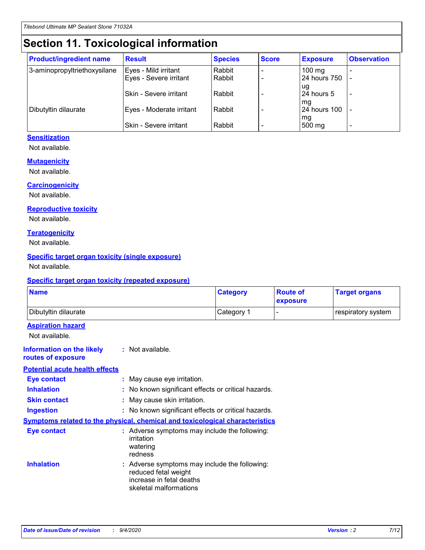# **Section 11. Toxicological information**

| <b>Product/ingredient name</b> | <b>Result</b>            | <b>Species</b> | <b>Score</b> | <b>Exposure</b>           | <b>Observation</b> |
|--------------------------------|--------------------------|----------------|--------------|---------------------------|--------------------|
| 3-aminopropyltriethoxysilane   | Eyes - Mild irritant     | Rabbit         |              | $100$ mg                  |                    |
|                                | Eyes - Severe irritant   | Rabbit         |              | 24 hours 750              |                    |
|                                |                          |                |              | ug                        |                    |
|                                | Skin - Severe irritant   | Rabbit         |              | 24 hours 5                | -                  |
| Dibutyltin dilaurate           | Eyes - Moderate irritant | Rabbit         |              | mq<br><b>24 hours 100</b> |                    |
|                                |                          |                |              | mg                        |                    |
|                                | Skin - Severe irritant   | Rabbit         |              | 500 mg                    |                    |

#### **Sensitization**

Not available.

#### **Mutagenicity**

Not available.

#### **Carcinogenicity**

Not available.

#### **Reproductive toxicity**

Not available.

#### **Teratogenicity**

Not available.

#### **Specific target organ toxicity (single exposure)**

Not available.

#### **Specific target organ toxicity (repeated exposure)**

| <b>Name</b>                                                                         |                                                                            | <b>Category</b>                                     | <b>Route of</b><br>exposure | <b>Target organs</b> |  |  |
|-------------------------------------------------------------------------------------|----------------------------------------------------------------------------|-----------------------------------------------------|-----------------------------|----------------------|--|--|
| Dibutyltin dilaurate                                                                |                                                                            | Category 1                                          |                             | respiratory system   |  |  |
| <b>Aspiration hazard</b><br>Not available.                                          |                                                                            |                                                     |                             |                      |  |  |
| <b>Information on the likely</b><br>routes of exposure                              | : Not available.                                                           |                                                     |                             |                      |  |  |
| <b>Potential acute health effects</b>                                               |                                                                            |                                                     |                             |                      |  |  |
| <b>Eye contact</b>                                                                  | : May cause eye irritation.                                                |                                                     |                             |                      |  |  |
| <b>Inhalation</b>                                                                   |                                                                            | : No known significant effects or critical hazards. |                             |                      |  |  |
| <b>Skin contact</b>                                                                 |                                                                            | : May cause skin irritation.                        |                             |                      |  |  |
| <b>Ingestion</b>                                                                    |                                                                            | : No known significant effects or critical hazards. |                             |                      |  |  |
| <b>Symptoms related to the physical, chemical and toxicological characteristics</b> |                                                                            |                                                     |                             |                      |  |  |
| <b>Eye contact</b>                                                                  | irritation<br>watering<br>redness                                          | : Adverse symptoms may include the following:       |                             |                      |  |  |
| <b>Inhalation</b>                                                                   | reduced fetal weight<br>increase in fetal deaths<br>skeletal malformations | : Adverse symptoms may include the following:       |                             |                      |  |  |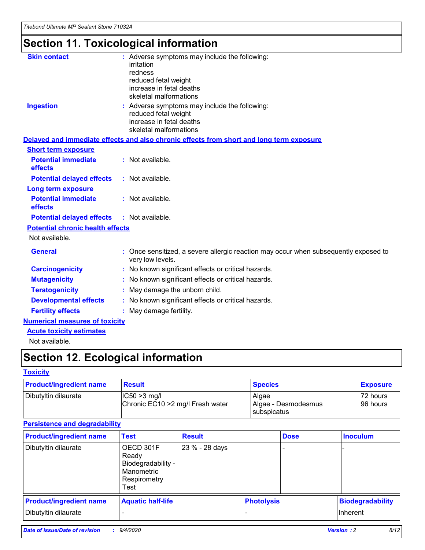# **Section 11. Toxicological information**

| <b>Skin contact</b>                     | : Adverse symptoms may include the following:<br>irritation<br>redness<br>reduced fetal weight<br>increase in fetal deaths<br>skeletal malformations |
|-----------------------------------------|------------------------------------------------------------------------------------------------------------------------------------------------------|
| <b>Ingestion</b>                        | : Adverse symptoms may include the following:<br>reduced fetal weight<br>increase in fetal deaths<br>skeletal malformations                          |
|                                         | Delayed and immediate effects and also chronic effects from short and long term exposure                                                             |
| <b>Short term exposure</b>              |                                                                                                                                                      |
| <b>Potential immediate</b><br>effects   | : Not available.                                                                                                                                     |
| <b>Potential delayed effects</b>        | : Not available.                                                                                                                                     |
| <b>Long term exposure</b>               |                                                                                                                                                      |
| <b>Potential immediate</b><br>effects   | : Not available.                                                                                                                                     |
| <b>Potential delayed effects</b>        | : Not available.                                                                                                                                     |
| <b>Potential chronic health effects</b> |                                                                                                                                                      |
| Not available.                          |                                                                                                                                                      |
| <b>General</b>                          | : Once sensitized, a severe allergic reaction may occur when subsequently exposed to<br>very low levels.                                             |
| <b>Carcinogenicity</b>                  | : No known significant effects or critical hazards.                                                                                                  |
| <b>Mutagenicity</b>                     | No known significant effects or critical hazards.                                                                                                    |
| <b>Teratogenicity</b>                   | May damage the unborn child.                                                                                                                         |
| <b>Developmental effects</b>            | : No known significant effects or critical hazards.                                                                                                  |
| <b>Fertility effects</b>                | : May damage fertility.                                                                                                                              |
| <b>Numerical measures of toxicity</b>   |                                                                                                                                                      |
| <b>Acute toxicity estimates</b>         |                                                                                                                                                      |
| .                                       |                                                                                                                                                      |

Not available.

# **Section 12. Ecological information**

#### **Toxicity**

| <b>Product/ingredient name</b> | <b>Result</b>                                       | <b>Species</b>               | <b>Exposure</b>       |
|--------------------------------|-----------------------------------------------------|------------------------------|-----------------------|
| Dibutyltin dilaurate           | $ CC50>3$ mg/l<br>Chronic EC10 > 2 mg/l Fresh water | Algae<br>Algae - Desmodesmus | 72 hours<br>196 hours |
|                                |                                                     | <b>I</b> subspicatus         |                       |

#### **Persistence and degradability**

| <b>Product/ingredient name</b> | <b>Test</b>                                                                    | <b>Result</b>  |                   | <b>Dose</b> | <b>Inoculum</b>         |
|--------------------------------|--------------------------------------------------------------------------------|----------------|-------------------|-------------|-------------------------|
| Dibutyltin dilaurate           | OECD 301F<br>Ready<br>Biodegradability -<br>Manometric<br>Respirometry<br>Test | 23 % - 28 days |                   |             |                         |
| <b>Product/ingredient name</b> | <b>Aquatic half-life</b>                                                       |                | <b>Photolysis</b> |             | <b>Biodegradability</b> |
| Dibutyltin dilaurate           |                                                                                |                |                   |             | <b>Inherent</b>         |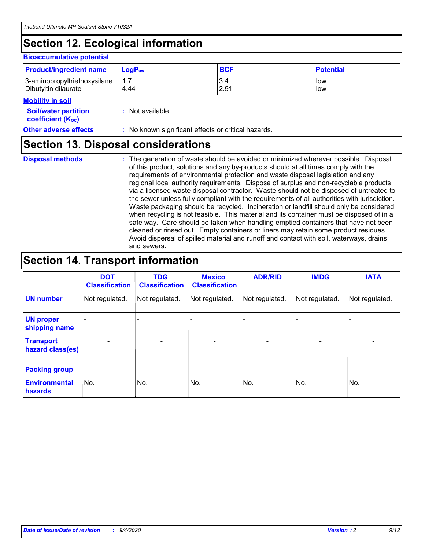# **Section 12. Ecological information**

#### **Bioaccumulative potential**

| <b>Product/ingredient name</b> | <b>LogP</b> <sub>ow</sub> | <b>BCF</b> | <b>Potential</b> |
|--------------------------------|---------------------------|------------|------------------|
| 3-aminopropyltriethoxysilane   | 4.44                      | 3.4        | low              |
| Dibutyltin dilaurate           |                           | 2.91       | low              |

#### **Mobility in soil**

| <b>Soil/water partition</b>           |  | : Not available. |
|---------------------------------------|--|------------------|
| <b>coefficient</b> (K <sub>oc</sub> ) |  |                  |

**Other adverse effects** : No known significant effects or critical hazards.

### **Section 13. Disposal considerations**

**Disposal methods :**

The generation of waste should be avoided or minimized wherever possible. Disposal of this product, solutions and any by-products should at all times comply with the requirements of environmental protection and waste disposal legislation and any regional local authority requirements. Dispose of surplus and non-recyclable products via a licensed waste disposal contractor. Waste should not be disposed of untreated to the sewer unless fully compliant with the requirements of all authorities with jurisdiction. Waste packaging should be recycled. Incineration or landfill should only be considered when recycling is not feasible. This material and its container must be disposed of in a safe way. Care should be taken when handling emptied containers that have not been cleaned or rinsed out. Empty containers or liners may retain some product residues. Avoid dispersal of spilled material and runoff and contact with soil, waterways, drains and sewers.

### **Section 14. Transport information**

|                                      | <b>DOT</b><br><b>Classification</b> | <b>TDG</b><br><b>Classification</b> | <b>Mexico</b><br><b>Classification</b> | <b>ADR/RID</b>           | <b>IMDG</b>              | <b>IATA</b>    |
|--------------------------------------|-------------------------------------|-------------------------------------|----------------------------------------|--------------------------|--------------------------|----------------|
| <b>UN number</b>                     | Not regulated.                      | Not regulated.                      | Not regulated.                         | Not regulated.           | Not regulated.           | Not regulated. |
| <b>UN proper</b><br>shipping name    |                                     |                                     |                                        |                          |                          |                |
| <b>Transport</b><br>hazard class(es) |                                     | $\overline{\phantom{0}}$            | $\qquad \qquad \blacksquare$           | $\overline{\phantom{0}}$ | $\overline{\phantom{0}}$ |                |
| <b>Packing group</b>                 |                                     |                                     |                                        |                          |                          |                |
| <b>Environmental</b><br>hazards      | No.                                 | No.                                 | No.                                    | No.                      | No.                      | No.            |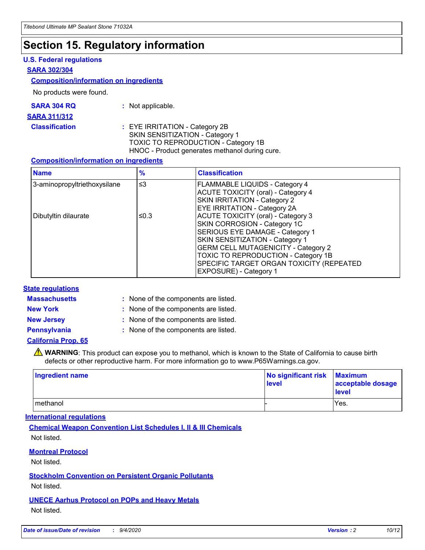### **Section 15. Regulatory information**

#### **U.S. Federal regulations**

#### **SARA 302/304**

#### **Composition/information on ingredients**

No products were found.

| SARA 304 RQ | Not applicable. |
|-------------|-----------------|
|-------------|-----------------|

#### **SARA 311/312**

#### **Classification :** EYE IRRITATION - Category 2B SKIN SENSITIZATION - Category 1 TOXIC TO REPRODUCTION - Category 1B HNOC - Product generates methanol during cure.

#### **Composition/information on ingredients**

| <b>Name</b>                  | $\frac{9}{6}$ | <b>Classification</b>                                                                                                                                                                                                                                                                                      |
|------------------------------|---------------|------------------------------------------------------------------------------------------------------------------------------------------------------------------------------------------------------------------------------------------------------------------------------------------------------------|
| 3-aminopropyltriethoxysilane | $\leq$ 3      | <b>FLAMMABLE LIQUIDS - Category 4</b><br><b>ACUTE TOXICITY (oral) - Category 4</b><br><b>SKIN IRRITATION - Category 2</b><br>EYE IRRITATION - Category 2A                                                                                                                                                  |
| Dibutyltin dilaurate         | ≤0.3          | <b>ACUTE TOXICITY (oral) - Category 3</b><br>SKIN CORROSION - Category 1C<br>SERIOUS EYE DAMAGE - Category 1<br>SKIN SENSITIZATION - Category 1<br><b>GERM CELL MUTAGENICITY - Category 2</b><br>TOXIC TO REPRODUCTION - Category 1B<br>SPECIFIC TARGET ORGAN TOXICITY (REPEATED<br>EXPOSURE) - Category 1 |

#### **State regulations**

**Massachusetts :**

: None of the components are listed.

**New York :** None of the components are listed. **New Jersey :** None of the components are listed.

**Pennsylvania :** None of the components are listed.

#### **California Prop. 65**

WARNING: This product can expose you to methanol, which is known to the State of California to cause birth defects or other reproductive harm. For more information go to www.P65Warnings.ca.gov.

| Ingredient name | No significant risk<br>level | <b>Maximum</b><br>acceptable dosage<br><b>level</b> |
|-----------------|------------------------------|-----------------------------------------------------|
| l methanol      |                              | Yes.                                                |

#### **International regulations**

**Chemical Weapon Convention List Schedules I, II & III Chemicals** Not listed.

#### **Montreal Protocol**

Not listed.

**Stockholm Convention on Persistent Organic Pollutants**

Not listed.

#### **UNECE Aarhus Protocol on POPs and Heavy Metals** Not listed.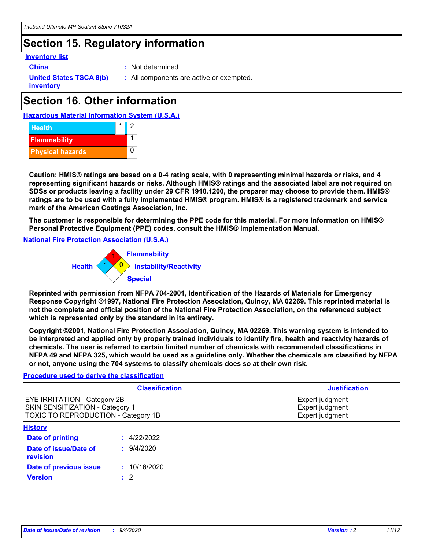## **Section 15. Regulatory information**

#### **Inventory list**

**China :** Not determined.

**United States TSCA 8(b) inventory**

**:** All components are active or exempted.

# **Section 16. Other information**





**Caution: HMIS® ratings are based on a 0-4 rating scale, with 0 representing minimal hazards or risks, and 4 representing significant hazards or risks. Although HMIS® ratings and the associated label are not required on SDSs or products leaving a facility under 29 CFR 1910.1200, the preparer may choose to provide them. HMIS® ratings are to be used with a fully implemented HMIS® program. HMIS® is a registered trademark and service mark of the American Coatings Association, Inc.**

**The customer is responsible for determining the PPE code for this material. For more information on HMIS® Personal Protective Equipment (PPE) codes, consult the HMIS® Implementation Manual.**

**National Fire Protection Association (U.S.A.)**



**Reprinted with permission from NFPA 704-2001, Identification of the Hazards of Materials for Emergency Response Copyright ©1997, National Fire Protection Association, Quincy, MA 02269. This reprinted material is not the complete and official position of the National Fire Protection Association, on the referenced subject which is represented only by the standard in its entirety.**

**Copyright ©2001, National Fire Protection Association, Quincy, MA 02269. This warning system is intended to be interpreted and applied only by properly trained individuals to identify fire, health and reactivity hazards of chemicals. The user is referred to certain limited number of chemicals with recommended classifications in NFPA 49 and NFPA 325, which would be used as a guideline only. Whether the chemicals are classified by NFPA or not, anyone using the 704 systems to classify chemicals does so at their own risk.**

#### **Procedure used to derive the classification**

| <b>Classification</b>                                                                                                | <b>Justification</b>                                  |
|----------------------------------------------------------------------------------------------------------------------|-------------------------------------------------------|
| <b>EYE IRRITATION - Category 2B</b><br><b>SKIN SENSITIZATION - Category 1</b><br>TOXIC TO REPRODUCTION - Category 1B | Expert judgment<br>Expert judgment<br>Expert judgment |
| <b>History</b>                                                                                                       |                                                       |

| .                                 |              |
|-----------------------------------|--------------|
| <b>Date of printing</b>           | : 4/22/2022  |
| Date of issue/Date of<br>revision | 9/4/2020     |
| Date of previous issue            | : 10/16/2020 |
| <b>Version</b>                    | $\cdot$ 2    |
|                                   |              |